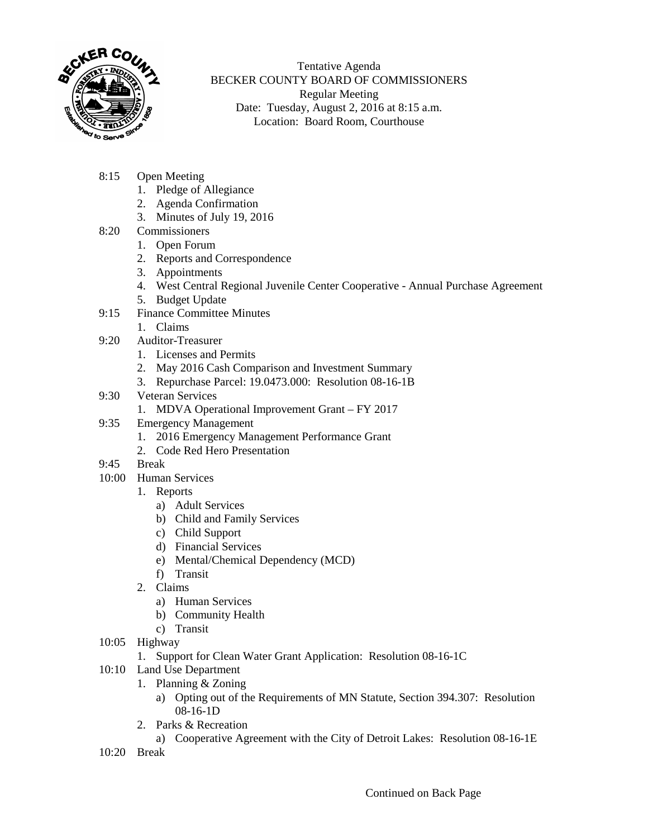

Tentative Agenda BECKER COUNTY BOARD OF COMMISSIONERS Regular Meeting Date: Tuesday, August 2, 2016 at 8:15 a.m. Location: Board Room, Courthouse

- 8:15 Open Meeting
	- 1. Pledge of Allegiance
	- 2. Agenda Confirmation
	- 3. Minutes of July 19, 2016
- 8:20 Commissioners
	- 1. Open Forum
	- 2. Reports and Correspondence
	- 3. Appointments
	- 4. West Central Regional Juvenile Center Cooperative Annual Purchase Agreement
	- 5. Budget Update
- 9:15 Finance Committee Minutes
	- 1. Claims
- 9:20 Auditor-Treasurer
	- 1. Licenses and Permits
	- 2. May 2016 Cash Comparison and Investment Summary
	- 3. Repurchase Parcel: 19.0473.000: Resolution 08-16-1B
- 9:30 Veteran Services
	- 1. MDVA Operational Improvement Grant FY 2017
- 9:35 Emergency Management
	- 1. 2016 Emergency Management Performance Grant
	- 2. Code Red Hero Presentation
- 9:45 Break
- 10:00 Human Services
	- 1. Reports
		- a) Adult Services
		- b) Child and Family Services
		- c) Child Support
		- d) Financial Services
		- e) Mental/Chemical Dependency (MCD)
		- f) Transit
	- 2. Claims
		- a) Human Services
		- b) Community Health
		- c) Transit
- 10:05 Highway
	- 1. Support for Clean Water Grant Application: Resolution 08-16-1C
- 10:10 Land Use Department
	- 1. Planning & Zoning
		- a) Opting out of the Requirements of MN Statute, Section 394.307: Resolution 08-16-1D
	- 2. Parks & Recreation
		- a) Cooperative Agreement with the City of Detroit Lakes: Resolution 08-16-1E
- 10:20 Break